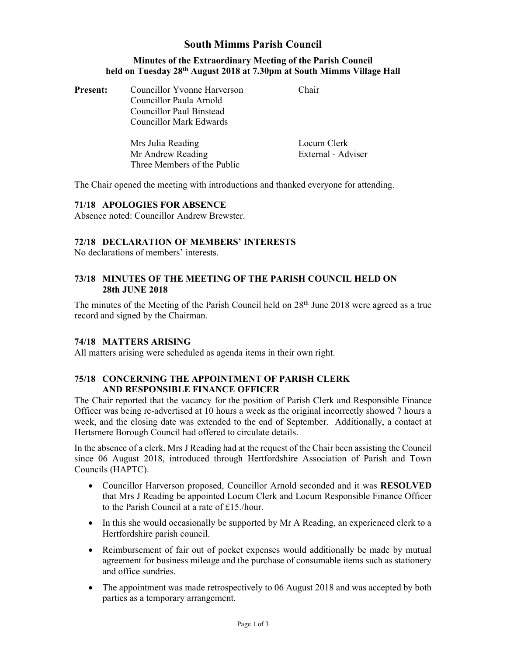# South Mimms Parish Council

#### Minutes of the Extraordinary Meeting of the Parish Council held on Tuesday 28th August 2018 at 7.30pm at South Mimms Village Hall

| <b>Present:</b> | Councillor Yvonne Harverson | Chair |
|-----------------|-----------------------------|-------|
|                 | Councillor Paula Arnold     |       |
|                 | Councillor Paul Binstead    |       |
|                 | Councillor Mark Edwards     |       |

| Mrs Julia Reading           | Locum Clerk        |
|-----------------------------|--------------------|
| Mr Andrew Reading           | External - Adviser |
| Three Members of the Public |                    |

The Chair opened the meeting with introductions and thanked everyone for attending.

# 71/18 APOLOGIES FOR ABSENCE

Absence noted: Councillor Andrew Brewster.

## 72/18 DECLARATION OF MEMBERS' INTERESTS

No declarations of members' interests.

### 73/18 MINUTES OF THE MEETING OF THE PARISH COUNCIL HELD ON 28th JUNE 2018

The minutes of the Meeting of the Parish Council held on  $28<sup>th</sup>$  June 2018 were agreed as a true record and signed by the Chairman.

#### 74/18 MATTERS ARISING

All matters arising were scheduled as agenda items in their own right.

### 75/18 CONCERNING THE APPOINTMENT OF PARISH CLERK AND RESPONSIBLE FINANCE OFFICER

The Chair reported that the vacancy for the position of Parish Clerk and Responsible Finance Officer was being re-advertised at 10 hours a week as the original incorrectly showed 7 hours a week, and the closing date was extended to the end of September. Additionally, a contact at Hertsmere Borough Council had offered to circulate details.

In the absence of a clerk, Mrs J Reading had at the request of the Chair been assisting the Council since 06 August 2018, introduced through Hertfordshire Association of Parish and Town Councils (HAPTC).

- Councillor Harverson proposed, Councillor Arnold seconded and it was RESOLVED that Mrs J Reading be appointed Locum Clerk and Locum Responsible Finance Officer to the Parish Council at a rate of £15./hour.
- In this she would occasionally be supported by Mr A Reading, an experienced clerk to a Hertfordshire parish council.
- Reimbursement of fair out of pocket expenses would additionally be made by mutual agreement for business mileage and the purchase of consumable items such as stationery and office sundries.
- The appointment was made retrospectively to 06 August 2018 and was accepted by both parties as a temporary arrangement.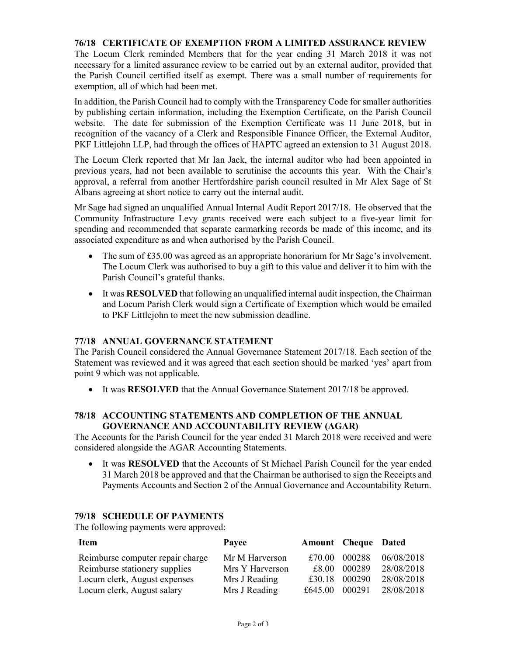# 76/18 CERTIFICATE OF EXEMPTION FROM A LIMITED ASSURANCE REVIEW

The Locum Clerk reminded Members that for the year ending 31 March 2018 it was not necessary for a limited assurance review to be carried out by an external auditor, provided that the Parish Council certified itself as exempt. There was a small number of requirements for exemption, all of which had been met.

In addition, the Parish Council had to comply with the Transparency Code for smaller authorities by publishing certain information, including the Exemption Certificate, on the Parish Council website. The date for submission of the Exemption Certificate was 11 June 2018, but in recognition of the vacancy of a Clerk and Responsible Finance Officer, the External Auditor, PKF Littlejohn LLP, had through the offices of HAPTC agreed an extension to 31 August 2018.

The Locum Clerk reported that Mr Ian Jack, the internal auditor who had been appointed in previous years, had not been available to scrutinise the accounts this year. With the Chair's approval, a referral from another Hertfordshire parish council resulted in Mr Alex Sage of St Albans agreeing at short notice to carry out the internal audit.

Mr Sage had signed an unqualified Annual Internal Audit Report 2017/18. He observed that the Community Infrastructure Levy grants received were each subject to a five-year limit for spending and recommended that separate earmarking records be made of this income, and its associated expenditure as and when authorised by the Parish Council.

- The sum of  $£35.00$  was agreed as an appropriate honorarium for Mr Sage's involvement. The Locum Clerk was authorised to buy a gift to this value and deliver it to him with the Parish Council's grateful thanks.
- It was RESOLVED that following an unqualified internal audit inspection, the Chairman and Locum Parish Clerk would sign a Certificate of Exemption which would be emailed to PKF Littlejohn to meet the new submission deadline.

# 77/18 ANNUAL GOVERNANCE STATEMENT

The Parish Council considered the Annual Governance Statement 2017/18. Each section of the Statement was reviewed and it was agreed that each section should be marked 'yes' apart from point 9 which was not applicable.

• It was **RESOLVED** that the Annual Governance Statement 2017/18 be approved.

#### 78/18 ACCOUNTING STATEMENTS AND COMPLETION OF THE ANNUAL GOVERNANCE AND ACCOUNTABILITY REVIEW (AGAR)

The Accounts for the Parish Council for the year ended 31 March 2018 were received and were considered alongside the AGAR Accounting Statements.

 It was RESOLVED that the Accounts of St Michael Parish Council for the year ended 31 March 2018 be approved and that the Chairman be authorised to sign the Receipts and Payments Accounts and Section 2 of the Annual Governance and Accountability Return.

#### 79/18 SCHEDULE OF PAYMENTS

The following payments were approved:

| <b>Item</b>                      | Payee           | <b>Amount Cheque Dated</b> |        |            |
|----------------------------------|-----------------|----------------------------|--------|------------|
| Reimburse computer repair charge | Mr M Harverson  | £70.00                     | 000288 | 06/08/2018 |
| Reimburse stationery supplies    | Mrs Y Harverson | £8.00                      | 000289 | 28/08/2018 |
| Locum clerk, August expenses     | Mrs J Reading   | £30.18                     | 000290 | 28/08/2018 |
| Locum clerk, August salary       | Mrs J Reading   | £645.00                    | 000291 | 28/08/2018 |